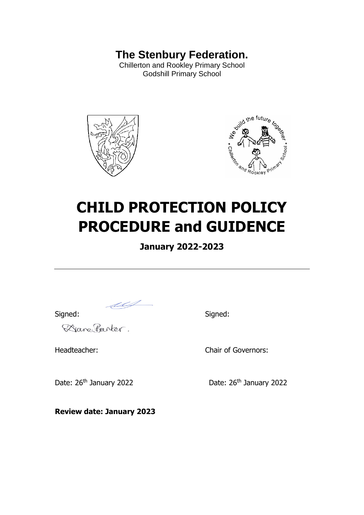## **The Stenbury Federation.**

Chillerton and Rookley Primary School Godshill Primary School





# **CHILD PROTECTION POLICY PROCEDURE and GUIDENCE**

**January 2022-2023**

Dane Parter.

Date: 26<sup>th</sup> January 2022 Date: 26<sup>th</sup> January 2022

**Review date: January 2023** 

Signed: Signed: Signed: Signed: Signed: Signed: Signed: Signed: Signed: Signed: Signed: Signed: Signed: Signed: Signed: Signed: Signed: Signed: Signed: Signed: Signed: Signed: Signed: Signed: Signed: Signed: Signed: Signed

Headteacher: Chair of Governors: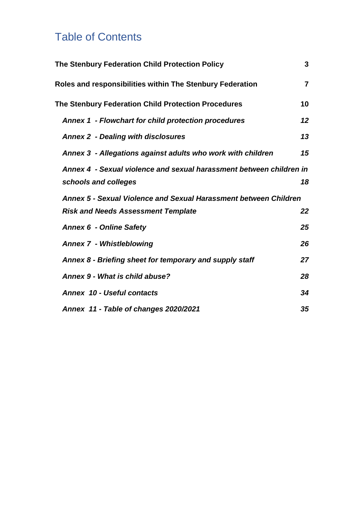## Table of Contents

<span id="page-1-0"></span>

| The Stenbury Federation Child Protection Policy                                             | $\mathbf{3}$   |
|---------------------------------------------------------------------------------------------|----------------|
| Roles and responsibilities within The Stenbury Federation                                   | $\overline{7}$ |
| The Stenbury Federation Child Protection Procedures                                         | 10             |
| Annex 1 - Flowchart for child protection procedures                                         | 12             |
| <b>Annex 2 - Dealing with disclosures</b>                                                   | 13             |
| Annex 3 - Allegations against adults who work with children                                 | 15             |
| Annex 4 - Sexual violence and sexual harassment between children in<br>schools and colleges | 18             |
| Annex 5 - Sexual Violence and Sexual Harassment between Children                            |                |
| <b>Risk and Needs Assessment Template</b>                                                   | 22             |
| <b>Annex 6 - Online Safety</b>                                                              | 25             |
| <b>Annex 7 - Whistleblowing</b>                                                             | 26             |
| Annex 8 - Briefing sheet for temporary and supply staff                                     | 27             |
| Annex 9 - What is child abuse?                                                              | 28             |
| <b>Annex 10 - Useful contacts</b>                                                           | 34             |
| Annex 11 - Table of changes 2020/2021                                                       | 35             |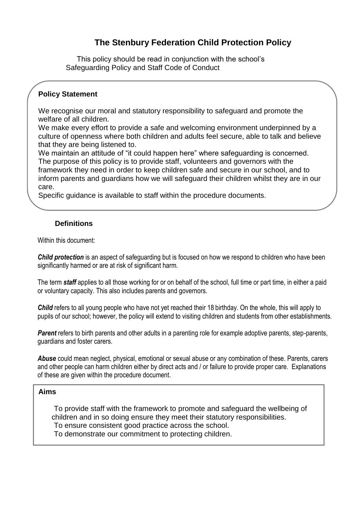## **The Stenbury Federation Child Protection Policy**

This policy should be read in conjunction with the school's Safeguarding Policy and Staff Code of Conduct

## **Policy Statement**

We recognise our moral and statutory responsibility to safeguard and promote the welfare of all children.

We make every effort to provide a safe and welcoming environment underpinned by a culture of openness where both children and adults feel secure, able to talk and believe that they are being listened to.

We maintain an attitude of "it could happen here" where safeguarding is concerned. The purpose of this policy is to provide staff, volunteers and governors with the framework they need in order to keep children safe and secure in our school, and to inform parents and guardians how we will safeguard their children whilst they are in our care.

Specific guidance is available to staff within the procedure documents.

## **Definitions**

Within this document:

*Child protection* is an aspect of safeguarding but is focused on how we respond to children who have been significantly harmed or are at risk of significant harm.

The term *staff* applies to all those working for or on behalf of the school, full time or part time, in either a paid or voluntary capacity. This also includes parents and governors.

*Child* refers to all young people who have not yet reached their 18 birthday. On the whole, this will apply to pupils of our school; however, the policy will extend to visiting children and students from other establishments.

*Parent* refers to birth parents and other adults in a parenting role for example adoptive parents, step-parents, guardians and foster carers.

*Abuse* could mean neglect, physical, emotional or sexual abuse or any combination of these. Parents, carers and other people can harm children either by direct acts and / or failure to provide proper care. Explanations of these are given within the procedure document.

## **Aims**

To provide staff with the framework to promote and safeguard the wellbeing of children and in so doing ensure they meet their statutory responsibilities. To ensure consistent good practice across the school. To demonstrate our commitment to protecting children.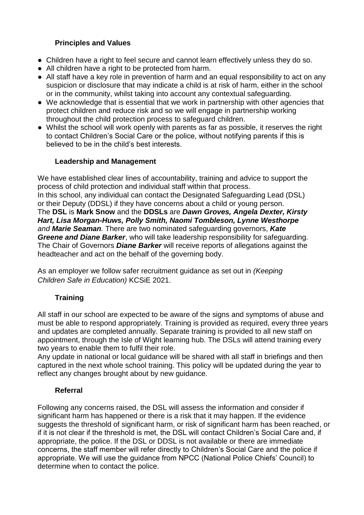## **Principles and Values**

- Children have a right to feel secure and cannot learn effectively unless they do so.
- All children have a right to be protected from harm.
- All staff have a key role in prevention of harm and an equal responsibility to act on any suspicion or disclosure that may indicate a child is at risk of harm, either in the school or in the community, whilst taking into account any contextual safeguarding.
- We acknowledge that is essential that we work in partnership with other agencies that protect children and reduce risk and so we will engage in partnership working throughout the child protection process to safeguard children.
- Whilst the school will work openly with parents as far as possible, it reserves the right to contact Children's Social Care or the police, without notifying parents if this is believed to be in the child's best interests.

## **Leadership and Management**

We have established clear lines of accountability, training and advice to support the process of child protection and individual staff within that process.

In this school, any individual can contact the Designated Safeguarding Lead (DSL) or their Deputy (DDSL) if they have concerns about a child or young person.

The **DSL** is **Mark Snow** and the **DDSLs** are *Dawn Groves, Angela Dexter, Kirsty Hart, Lisa Morgan-Huws, Polly Smith, Naomi Tombleson, Lynne Westhorpe and Marie Seaman.* There are two nominated safeguarding governors, *Kate Greene and Diane Barker*, who will take leadership responsibility for safeguarding. The Chair of Governors *Diane Barker* will receive reports of allegations against the headteacher and act on the behalf of the governing body.

As an employer we follow safer recruitment guidance as set out in *(Keeping Children Safe in Education)* KCSiE 2021.

## **Training**

All staff in our school are expected to be aware of the signs and symptoms of abuse and must be able to respond appropriately. Training is provided as required, every three years and updates are completed annually. Separate training is provided to all new staff on appointment, through the Isle of Wight learning hub. The DSLs will attend training every two years to enable them to fulfil their role.

Any update in national or local guidance will be shared with all staff in briefings and then captured in the next whole school training. This policy will be updated during the year to reflect any changes brought about by new guidance.

## **Referral**

Following any concerns raised, the DSL will assess the information and consider if significant harm has happened or there is a risk that it may happen. If the evidence suggests the threshold of significant harm, or risk of significant harm has been reached, or if it is not clear if the threshold is met, the DSL will contact Children's Social Care and, if appropriate, the police. If the DSL or DDSL is not available or there are immediate concerns, the staff member will refer directly to Children's Social Care and the police if appropriate. We will use the guidance from NPCC (National Police Chiefs' Council) to determine when to contact the police.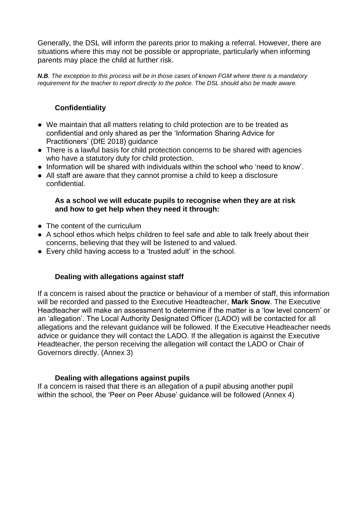Generally, the DSL will inform the parents prior to making a referral. However, there are situations where this may not be possible or appropriate, particularly when informing parents may place the child at further risk.

*N.B. The exception to this process will be in those cases of known FGM where there is a mandatory requirement for the teacher to report directly to the police. The DSL should also be made aware.* 

## **Confidentiality**

- We maintain that all matters relating to child protection are to be treated as confidential and only shared as per the 'Information Sharing Advice for Practitioners' (DfE 2018) guidance
- There is a lawful basis for child protection concerns to be shared with agencies who have a statutory duty for child protection.
- Information will be shared with individuals within the school who 'need to know'.
- All staff are aware that they cannot promise a child to keep a disclosure confidential.

## **As a school we will educate pupils to recognise when they are at risk and how to get help when they need it through:**

- The content of the curriculum
- A school ethos which helps children to feel safe and able to talk freely about their concerns, believing that they will be listened to and valued.
- Every child having access to a 'trusted adult' in the school.

## **Dealing with allegations against staff**

If a concern is raised about the practice or behaviour of a member of staff, this information will be recorded and passed to the Executive Headteacher, **Mark Snow**. The Executive Headteacher will make an assessment to determine if the matter is a 'low level concern' or an 'allegation'. The Local Authority Designated Officer (LADO) will be contacted for all allegations and the relevant guidance will be followed. If the Executive Headteacher needs advice or guidance they will contact the LADO. If the allegation is against the Executive Headteacher, the person receiving the allegation will contact the LADO or Chair of Governors directly. (Annex 3)

## **Dealing with allegations against pupils**

If a concern is raised that there is an allegation of a pupil abusing another pupil within the school, the 'Peer on Peer Abuse' guidance will be followed (Annex 4)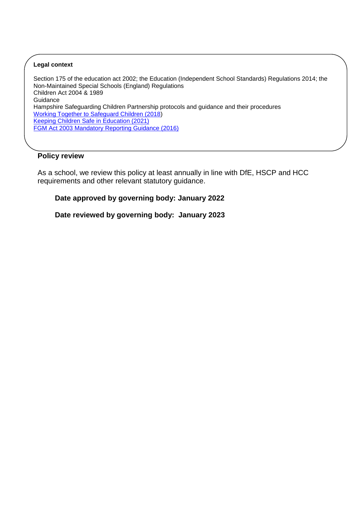#### **Legal context**

Section 175 of the education act 2002; the Education (Independent School Standards) Regulations 2014; the Non-Maintained Special Schools (England) Regulations Children Act 2004 & 1989 Guidance Hampshire Safeguarding Children Partnership protocols and guidance and their procedures Working Together to Safeguard Children (2018) Keeping Children Safe in Education (2021) FGM Act 2003 Mandatory Reporting Guidance (2016)

#### **Policy review**

As a school, we review this policy at least annually in line with DfE, HSCP and HCC requirements and other relevant statutory guidance.

## **Date approved by governing body: January 2022**

<span id="page-5-0"></span>**Date reviewed by governing body: January 2023**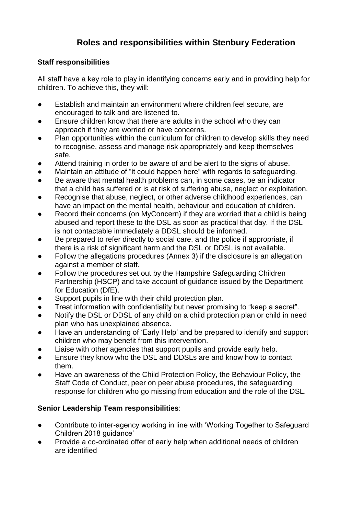## **Roles and responsibilities within Stenbury Federation**

## **Staff responsibilities**

All staff have a key role to play in identifying concerns early and in providing help for children. To achieve this, they will:

- Establish and maintain an environment where children feel secure, are encouraged to talk and are listened to.
- Ensure children know that there are adults in the school who they can approach if they are worried or have concerns.
- Plan opportunities within the curriculum for children to develop skills they need to recognise, assess and manage risk appropriately and keep themselves safe.
- Attend training in order to be aware of and be alert to the signs of abuse.
- Maintain an attitude of "it could happen here" with regards to safeguarding.
- Be aware that mental health problems can, in some cases, be an indicator that a child has suffered or is at risk of suffering abuse, neglect or exploitation.
- Recognise that abuse, neglect, or other adverse childhood experiences, can have an impact on the mental health, behaviour and education of children.
- Record their concerns (on MyConcern) if they are worried that a child is being abused and report these to the DSL as soon as practical that day. If the DSL is not contactable immediately a DDSL should be informed.
- Be prepared to refer directly to social care, and the police if appropriate, if there is a risk of significant harm and the DSL or DDSL is not available.
- Follow the allegations procedures (Annex 3) if the disclosure is an allegation against a member of staff.
- Follow the procedures set out by the Hampshire Safeguarding Children Partnership (HSCP) and take account of guidance issued by the Department for Education (DfE).
- Support pupils in line with their child protection plan.
- Treat information with confidentiality but never promising to "keep a secret".
- Notify the DSL or DDSL of any child on a child protection plan or child in need plan who has unexplained absence.
- Have an understanding of 'Early Help' and be prepared to identify and support children who may benefit from this intervention.
- Liaise with other agencies that support pupils and provide early help.
- Ensure they know who the DSL and DDSLs are and know how to contact them.
- Have an awareness of the Child Protection Policy, the Behaviour Policy, the Staff Code of Conduct, peer on peer abuse procedures, the safeguarding response for children who go missing from education and the role of the DSL.

## **Senior Leadership Team responsibilities**:

- Contribute to inter-agency working in line with 'Working Together to Safeguard Children 2018 guidance'
- Provide a co-ordinated offer of early help when additional needs of children are identified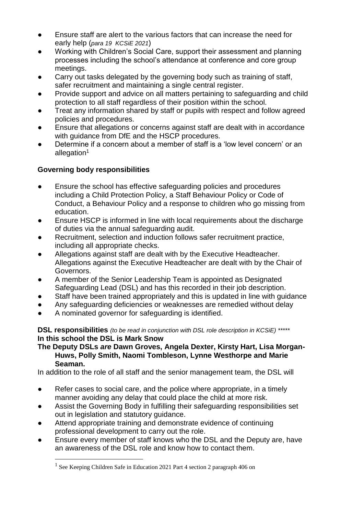- Ensure staff are alert to the various factors that can increase the need for early help (*para 19 KCSiE 2021*)
- Working with Children's Social Care, support their assessment and planning processes including the school's attendance at conference and core group meetings.
- Carry out tasks delegated by the governing body such as training of staff, safer recruitment and maintaining a single central register.
- Provide support and advice on all matters pertaining to safeguarding and child protection to all staff regardless of their position within the school.
- Treat any information shared by staff or pupils with respect and follow agreed policies and procedures.
- Ensure that allegations or concerns against staff are dealt with in accordance with guidance from DfE and the HSCP procedures.
- Determine if a concern about a member of staff is a 'low level concern' or an allegation<sup>1</sup>

## **Governing body responsibilities**

 $\overline{a}$ 

- Ensure the school has effective safeguarding policies and procedures including a Child Protection Policy, a Staff Behaviour Policy or Code of Conduct, a Behaviour Policy and a response to children who go missing from education.
- Ensure HSCP is informed in line with local requirements about the discharge of duties via the annual safeguarding audit.
- Recruitment, selection and induction follows safer recruitment practice, including all appropriate checks.
- Allegations against staff are dealt with by the Executive Headteacher. Allegations against the Executive Headteacher are dealt with by the Chair of Governors.
- A member of the Senior Leadership Team is appointed as Designated Safeguarding Lead (DSL) and has this recorded in their job description.
- Staff have been trained appropriately and this is updated in line with guidance
- Any safeguarding deficiencies or weaknesses are remedied without delay
- A nominated governor for safeguarding is identified.

## **DSL responsibilities** *(to be read in conjunction with DSL role description in KCSiE) \*\*\*\*\** **In this school the DSL is Mark Snow**

**The Deputy DSLs** *are* **Dawn Groves, Angela Dexter, Kirsty Hart, Lisa Morgan-Huws, Polly Smith, Naomi Tombleson, Lynne Westhorpe and Marie Seaman.**

In addition to the role of all staff and the senior management team, the DSL will

- Refer cases to social care, and the police where appropriate, in a timely manner avoiding any delay that could place the child at more risk.
- Assist the Governing Body in fulfilling their safeguarding responsibilities set out in legislation and statutory guidance.
- Attend appropriate training and demonstrate evidence of continuing professional development to carry out the role.
- Ensure every member of staff knows who the DSL and the Deputy are, have an awareness of the DSL role and know how to contact them.

<sup>&</sup>lt;sup>1</sup> See Keeping Children Safe in Education 2021 Part 4 section 2 paragraph 406 on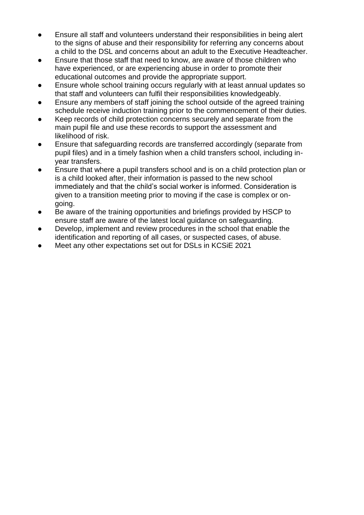- Ensure all staff and volunteers understand their responsibilities in being alert to the signs of abuse and their responsibility for referring any concerns about a child to the DSL and concerns about an adult to the Executive Headteacher.
- Ensure that those staff that need to know, are aware of those children who have experienced, or are experiencing abuse in order to promote their educational outcomes and provide the appropriate support.
- Ensure whole school training occurs regularly with at least annual updates so that staff and volunteers can fulfil their responsibilities knowledgeably.
- Ensure any members of staff joining the school outside of the agreed training schedule receive induction training prior to the commencement of their duties.
- Keep records of child protection concerns securely and separate from the main pupil file and use these records to support the assessment and likelihood of risk.
- Ensure that safeguarding records are transferred accordingly (separate from pupil files) and in a timely fashion when a child transfers school, including inyear transfers.
- Ensure that where a pupil transfers school and is on a child protection plan or is a child looked after, their information is passed to the new school immediately and that the child's social worker is informed. Consideration is given to a transition meeting prior to moving if the case is complex or ongoing.
- Be aware of the training opportunities and briefings provided by HSCP to ensure staff are aware of the latest local guidance on safeguarding.
- Develop, implement and review procedures in the school that enable the identification and reporting of all cases, or suspected cases, of abuse.
- Meet any other expectations set out for DSLs in KCSiE 2021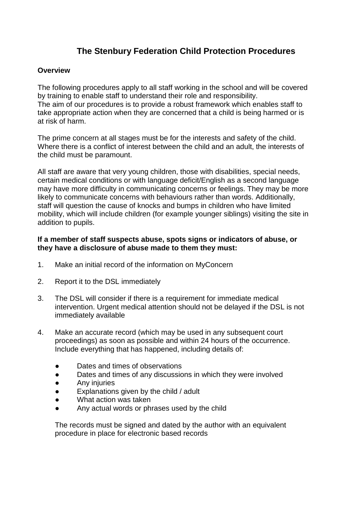## <span id="page-9-0"></span>**The Stenbury Federation Child Protection Procedures**

## **Overview**

The following procedures apply to all staff working in the school and will be covered by training to enable staff to understand their role and responsibility. The aim of our procedures is to provide a robust framework which enables staff to take appropriate action when they are concerned that a child is being harmed or is at risk of harm.

The prime concern at all stages must be for the interests and safety of the child. Where there is a conflict of interest between the child and an adult, the interests of the child must be paramount.

All staff are aware that very young children, those with disabilities, special needs, certain medical conditions or with language deficit/English as a second language may have more difficulty in communicating concerns or feelings. They may be more likely to communicate concerns with behaviours rather than words. Additionally, staff will question the cause of knocks and bumps in children who have limited mobility, which will include children (for example younger siblings) visiting the site in addition to pupils.

#### **If a member of staff suspects abuse, spots signs or indicators of abuse, or they have a disclosure of abuse made to them they must:**

- 1. Make an initial record of the information on MyConcern
- 2. Report it to the DSL immediately
- 3. The DSL will consider if there is a requirement for immediate medical intervention. Urgent medical attention should not be delayed if the DSL is not immediately available
- 4. Make an accurate record (which may be used in any subsequent court proceedings) as soon as possible and within 24 hours of the occurrence. Include everything that has happened, including details of:
	- Dates and times of observations
	- Dates and times of any discussions in which they were involved
	- Any injuries
	- Explanations given by the child / adult
	- What action was taken
	- Any actual words or phrases used by the child

The records must be signed and dated by the author with an equivalent procedure in place for electronic based records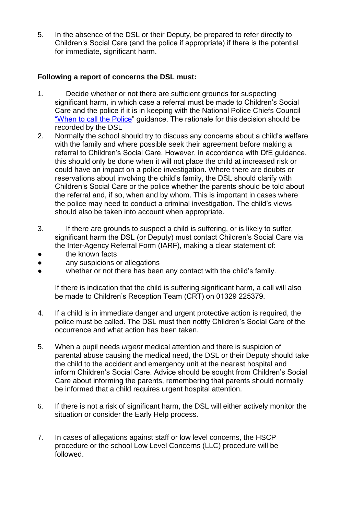5. In the absence of the DSL or their Deputy, be prepared to refer directly to Children's Social Care (and the police if appropriate) if there is the potential for immediate, significant harm.

## **Following a report of concerns the DSL must:**

- 1. Decide whether or not there are sufficient grounds for suspecting significant harm, in which case a referral must be made to Children's Social Care and the police if it is in keeping with the National Police Chiefs Council ["When to call the Police"](https://www.google.com/url?sa=t&rct=j&q=&esrc=s&source=web&cd=&cad=rja&uact=8&ved=2ahUKEwjWztnW2MfrAhWRRhUIHfKnB1sQFjABegQIDBAD&url=https%3A%2F%2Fwww.npcc.police.uk%2Fdocuments%2FChildren%2520and%2520Young%2520people%2FWhen%2520to%2520call%2520the%2520police%2520guidance%2520for%2520schools%2520and%2520colleges.pdf&usg=AOvVaw2hklWTbin6l8AlYoJFHR1V) guidance. The rationale for this decision should be recorded by the DSL
- 2. Normally the school should try to discuss any concerns about a child's welfare with the family and where possible seek their agreement before making a referral to Children's Social Care. However, in accordance with DfE guidance, this should only be done when it will not place the child at increased risk or could have an impact on a police investigation. Where there are doubts or reservations about involving the child's family, the DSL should clarify with Children's Social Care or the police whether the parents should be told about the referral and, if so, when and by whom. This is important in cases where the police may need to conduct a criminal investigation. The child's views should also be taken into account when appropriate.
- 3. If there are grounds to suspect a child is suffering, or is likely to suffer, significant harm the DSL (or Deputy) must contact Children's Social Care via the Inter-Agency Referral Form (IARF), making a clear statement of:
- the known facts
- any suspicions or allegations
- whether or not there has been any contact with the child's family.

If there is indication that the child is suffering significant harm, a call will also be made to Children's Reception Team (CRT) on 01329 225379.

- 4. If a child is in immediate danger and urgent protective action is required, the police must be called. The DSL must then notify Children's Social Care of the occurrence and what action has been taken.
- 5. When a pupil needs *urgent* medical attention and there is suspicion of parental abuse causing the medical need, the DSL or their Deputy should take the child to the accident and emergency unit at the nearest hospital and inform Children's Social Care. Advice should be sought from Children's Social Care about informing the parents, remembering that parents should normally be informed that a child requires urgent hospital attention.
- 6. If there is not a risk of significant harm, the DSL will either actively monitor the situation or consider the Early Help process.
- 7. In cases of allegations against staff or low level concerns, the HSCP procedure or the school Low Level Concerns (LLC) procedure will be followed.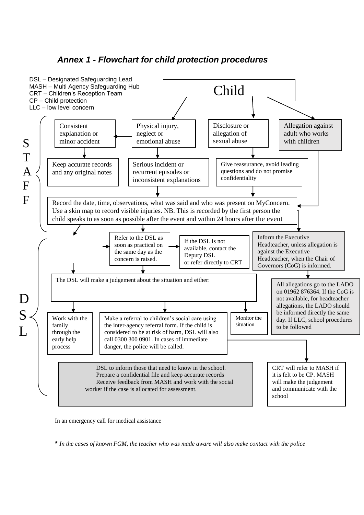## <span id="page-11-0"></span>*Annex 1 - Flowchart for child protection procedures*



In an emergency call for medical assistance

**\*** *In the cases of known FGM, the teacher who was made aware will also make contact with the police*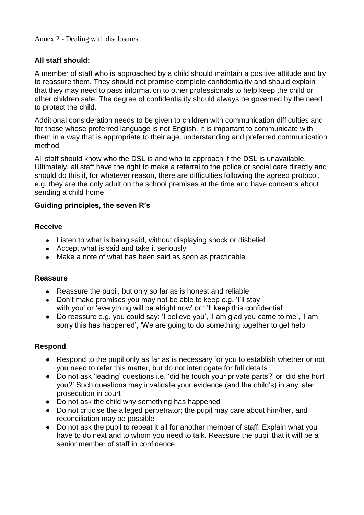## <span id="page-12-0"></span>**All staff should:**

A member of staff who is approached by a child should maintain a positive attitude and try to reassure them. They should not promise complete confidentiality and should explain that they may need to pass information to other professionals to help keep the child or other children safe. The degree of confidentiality should always be governed by the need to protect the child.

Additional consideration needs to be given to children with communication difficulties and for those whose preferred language is not English. It is important to communicate with them in a way that is appropriate to their age, understanding and preferred communication method.

All staff should know who the DSL is and who to approach if the DSL is unavailable. Ultimately, all staff have the right to make a referral to the police or social care directly and should do this if, for whatever reason, there are difficulties following the agreed protocol, e.g. they are the only adult on the school premises at the time and have concerns about sending a child home.

## **Guiding principles, the seven R's**

## **Receive**

- Listen to what is being said, without displaying shock or disbelief
- Accept what is said and take it seriously
- Make a note of what has been said as soon as practicable

## **Reassure**

- Reassure the pupil, but only so far as is honest and reliable
- Don't make promises you may not be able to keep e.g. 'I'll stay with you' or 'everything will be alright now' or 'I'll keep this confidential'
- Do reassure e.g. you could say: 'I believe you', 'I am glad you came to me', 'I am sorry this has happened', 'We are going to do something together to get help'

## **Respond**

- Respond to the pupil only as far as is necessary for you to establish whether or not you need to refer this matter, but do not interrogate for full details
- Do not ask 'leading' questions i.e. 'did he touch your private parts?' or 'did she hurt you?' Such questions may invalidate your evidence (and the child's) in any later prosecution in court
- Do not ask the child why something has happened
- Do not criticise the alleged perpetrator; the pupil may care about him/her, and reconciliation may be possible
- Do not ask the pupil to repeat it all for another member of staff. Explain what you have to do next and to whom you need to talk. Reassure the pupil that it will be a senior member of staff in confidence.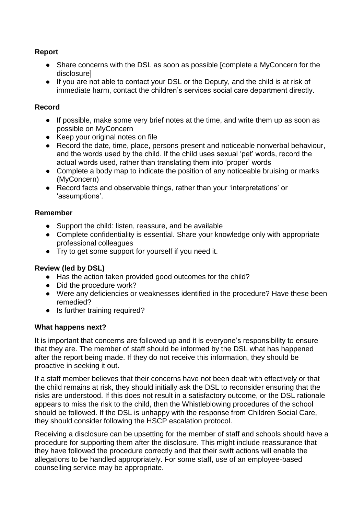## **Report**

- Share concerns with the DSL as soon as possible [complete a MyConcern for the disclosure]
- If you are not able to contact your DSL or the Deputy, and the child is at risk of immediate harm, contact the children's services social care department directly.

## **Record**

- If possible, make some very brief notes at the time, and write them up as soon as possible on MyConcern
- Keep your original notes on file
- Record the date, time, place, persons present and noticeable nonverbal behaviour, and the words used by the child. If the child uses sexual 'pet' words, record the actual words used, rather than translating them into 'proper' words
- Complete a body map to indicate the position of any noticeable bruising or marks (MyConcern)
- Record facts and observable things, rather than your 'interpretations' or 'assumptions'.

## **Remember**

- Support the child: listen, reassure, and be available
- Complete confidentiality is essential. Share your knowledge only with appropriate professional colleagues
- Try to get some support for yourself if you need it.

## **Review (led by DSL)**

- Has the action taken provided good outcomes for the child?
- Did the procedure work?
- Were any deficiencies or weaknesses identified in the procedure? Have these been remedied?
- Is further training required?

## **What happens next?**

It is important that concerns are followed up and it is everyone's responsibility to ensure that they are. The member of staff should be informed by the DSL what has happened after the report being made. If they do not receive this information, they should be proactive in seeking it out.

If a staff member believes that their concerns have not been dealt with effectively or that the child remains at risk, they should initially ask the DSL to reconsider ensuring that the risks are understood. If this does not result in a satisfactory outcome, or the DSL rationale appears to miss the risk to the child, then the Whistleblowing procedures of the school should be followed. If the DSL is unhappy with the response from Children Social Care, they should consider following the HSCP escalation protocol.

<span id="page-13-0"></span>Receiving a disclosure can be upsetting for the member of staff and schools should have a procedure for supporting them after the disclosure. This might include reassurance that they have followed the procedure correctly and that their swift actions will enable the allegations to be handled appropriately. For some staff, use of an employee-based counselling service may be appropriate.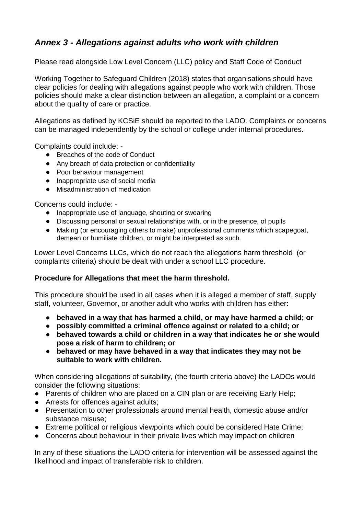## *Annex 3 - Allegations against adults who work with children*

Please read alongside Low Level Concern (LLC) policy and Staff Code of Conduct

Working Together to Safeguard Children (2018) states that organisations should have clear policies for dealing with allegations against people who work with children. Those policies should make a clear distinction between an allegation, a complaint or a concern about the quality of care or practice.

Allegations as defined by KCSiE should be reported to the LADO. Complaints or concerns can be managed independently by the school or college under internal procedures.

Complaints could include: -

- Breaches of the code of Conduct
- Any breach of data protection or confidentiality
- Poor behaviour management
- Inappropriate use of social media
- Misadministration of medication

Concerns could include: -

- Inappropriate use of language, shouting or swearing
- Discussing personal or sexual relationships with, or in the presence, of pupils
- Making (or encouraging others to make) unprofessional comments which scapegoat, demean or humiliate children, or might be interpreted as such.

Lower Level Concerns LLCs, which do not reach the allegations harm threshold (or complaints criteria) should be dealt with under a school LLC procedure.

## **Procedure for Allegations that meet the harm threshold.**

This procedure should be used in all cases when it is alleged a member of staff, supply staff, volunteer, Governor, or another adult who works with children has either:

- **behaved in a way that has harmed a child, or may have harmed a child; or**
- **possibly committed a criminal offence against or related to a child; or**
- **behaved towards a child or children in a way that indicates he or she would pose a risk of harm to children; or**
- **behaved or may have behaved in a way that indicates they may not be suitable to work with children.**

When considering allegations of suitability, (the fourth criteria above) the LADOs would consider the following situations:

- Parents of children who are placed on a CIN plan or are receiving Early Help;
- Arrests for offences against adults;
- Presentation to other professionals around mental health, domestic abuse and/or substance misuse;
- Extreme political or religious viewpoints which could be considered Hate Crime;
- Concerns about behaviour in their private lives which may impact on children

In any of these situations the LADO criteria for intervention will be assessed against the likelihood and impact of transferable risk to children.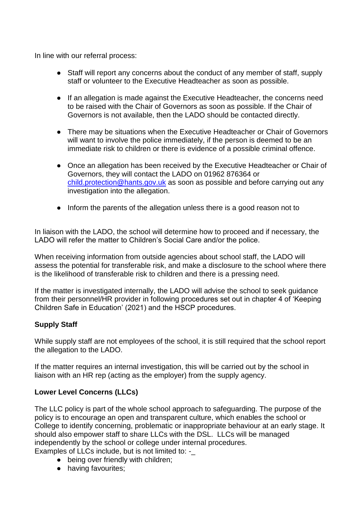In line with our referral process:

- Staff will report any concerns about the conduct of any member of staff, supply staff or volunteer to the Executive Headteacher as soon as possible.
- If an allegation is made against the Executive Headteacher, the concerns need to be raised with the Chair of Governors as soon as possible. If the Chair of Governors is not available, then the LADO should be contacted directly.
- There may be situations when the Executive Headteacher or Chair of Governors will want to involve the police immediately, if the person is deemed to be an immediate risk to children or there is evidence of a possible criminal offence.
- Once an allegation has been received by the Executive Headteacher or Chair of Governors, they will contact the LADO on 01962 876364 or [child.protection@hants.gov.uk](mailto:child.protection@hants.gov.uk) as soon as possible and before carrying out any investigation into the allegation.
- Inform the parents of the allegation unless there is a good reason not to

In liaison with the LADO, the school will determine how to proceed and if necessary, the LADO will refer the matter to Children's Social Care and/or the police.

When receiving information from outside agencies about school staff, the LADO will assess the potential for transferable risk, and make a disclosure to the school where there is the likelihood of transferable risk to children and there is a pressing need.

If the matter is investigated internally, the LADO will advise the school to seek guidance from their personnel/HR provider in following procedures set out in chapter 4 of 'Keeping Children Safe in Education' (2021) and the HSCP procedures.

## **Supply Staff**

While supply staff are not employees of the school, it is still required that the school report the allegation to the LADO.

If the matter requires an internal investigation, this will be carried out by the school in liaison with an HR rep (acting as the employer) from the supply agency.

## **Lower Level Concerns (LLCs)**

The LLC policy is part of the whole school approach to safeguarding. The purpose of the policy is to encourage an open and transparent culture, which enables the school or College to identify concerning, problematic or inappropriate behaviour at an early stage. It should also empower staff to share LLCs with the DSL. LLCs will be managed independently by the school or college under internal procedures.

Examples of LLCs include, but is not limited to: -\_

- being over friendly with children;
- having favourites;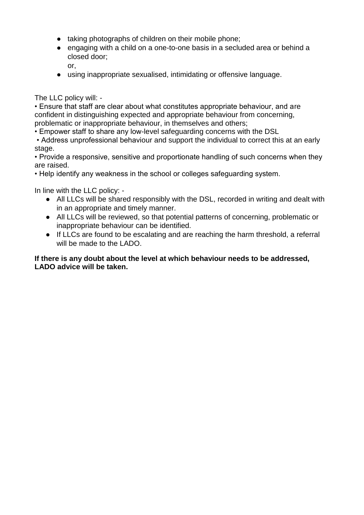- taking photographs of children on their mobile phone;
- engaging with a child on a one-to-one basis in a secluded area or behind a closed door;

or,

● using inappropriate sexualised, intimidating or offensive language.

The LLC policy will: -

• Ensure that staff are clear about what constitutes appropriate behaviour, and are confident in distinguishing expected and appropriate behaviour from concerning, problematic or inappropriate behaviour, in themselves and others;

• Empower staff to share any low-level safeguarding concerns with the DSL

• Address unprofessional behaviour and support the individual to correct this at an early stage.

• Provide a responsive, sensitive and proportionate handling of such concerns when they are raised.

• Help identify any weakness in the school or colleges safeguarding system.

In line with the LLC policy: -

- All LLCs will be shared responsibly with the DSL, recorded in writing and dealt with in an appropriate and timely manner.
- All LLCs will be reviewed, so that potential patterns of concerning, problematic or inappropriate behaviour can be identified.
- If LLCs are found to be escalating and are reaching the harm threshold, a referral will be made to the LADO.

## <span id="page-16-0"></span>**If there is any doubt about the level at which behaviour needs to be addressed, LADO advice will be taken.**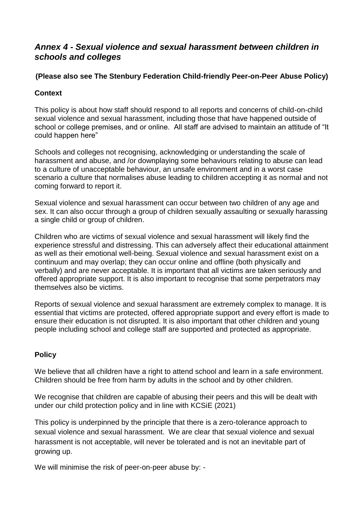## *Annex 4 - Sexual violence and sexual harassment between children in schools and colleges*

## **(Please also see The Stenbury Federation Child-friendly Peer-on-Peer Abuse Policy)**

## **Context**

This policy is about how staff should respond to all reports and concerns of child-on-child sexual violence and sexual harassment, including those that have happened outside of school or college premises, and or online. All staff are advised to maintain an attitude of "It could happen here"

Schools and colleges not recognising, acknowledging or understanding the scale of harassment and abuse, and /or downplaying some behaviours relating to abuse can lead to a culture of unacceptable behaviour, an unsafe environment and in a worst case scenario a culture that normalises abuse leading to children accepting it as normal and not coming forward to report it.

Sexual violence and sexual harassment can occur between two children of any age and sex. It can also occur through a group of children sexually assaulting or sexually harassing a single child or group of children.

Children who are victims of sexual violence and sexual harassment will likely find the experience stressful and distressing. This can adversely affect their educational attainment as well as their emotional well-being. Sexual violence and sexual harassment exist on a continuum and may overlap; they can occur online and offline (both physically and verbally) and are never acceptable. It is important that all victims are taken seriously and offered appropriate support. It is also important to recognise that some perpetrators may themselves also be victims.

Reports of sexual violence and sexual harassment are extremely complex to manage. It is essential that victims are protected, offered appropriate support and every effort is made to ensure their education is not disrupted. It is also important that other children and young people including school and college staff are supported and protected as appropriate.

## **Policy**

We believe that all children have a right to attend school and learn in a safe environment. Children should be free from harm by adults in the school and by other children.

We recognise that children are capable of abusing their peers and this will be dealt with under our child protection policy and in line with KCSiE (2021)

This policy is underpinned by the principle that there is a zero-tolerance approach to sexual violence and sexual harassment. We are clear that sexual violence and sexual harassment is not acceptable, will never be tolerated and is not an inevitable part of growing up.

We will minimise the risk of peer-on-peer abuse by: -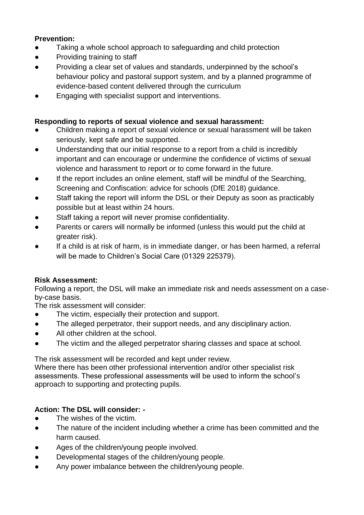## **Prevention:**

- Taking a whole school approach to safeguarding and child protection
- Providing training to staff
- Providing a clear set of values and standards, underpinned by the school's behaviour policy and pastoral support system, and by a planned programme of evidence-based content delivered through the curriculum
- Engaging with specialist support and interventions.

## **Responding to reports of sexual violence and sexual harassment:**

- Children making a report of sexual violence or sexual harassment will be taken seriously, kept safe and be supported.
- Understanding that our initial response to a report from a child is incredibly important and can encourage or undermine the confidence of victims of sexual violence and harassment to report or to come forward in the future.
- If the report includes an online element, staff will be mindful of the Searching, Screening and Confiscation: advice for schools (DfE 2018) guidance.
- Staff taking the report will inform the DSL or their Deputy as soon as practicably possible but at least within 24 hours.
- Staff taking a report will never promise confidentiality.
- Parents or carers will normally be informed (unless this would put the child at greater risk).
- If a child is at risk of harm, is in immediate danger, or has been harmed, a referral will be made to Children's Social Care (01329 225379).

## **Risk Assessment:**

Following a report, the DSL will make an immediate risk and needs assessment on a caseby-case basis.

The risk assessment will consider:

- The victim, especially their protection and support.
- The alleged perpetrator, their support needs, and any disciplinary action.
- All other children at the school.
- The victim and the alleged perpetrator sharing classes and space at school.

The risk assessment will be recorded and kept under review.

Where there has been other professional intervention and/or other specialist risk assessments. These professional assessments will be used to inform the school's approach to supporting and protecting pupils.

## **Action: The DSL will consider: -**

- The wishes of the victim.
- The nature of the incident including whether a crime has been committed and the harm caused.
- Ages of the children/young people involved.
- Developmental stages of the children/young people.
- Any power imbalance between the children/young people.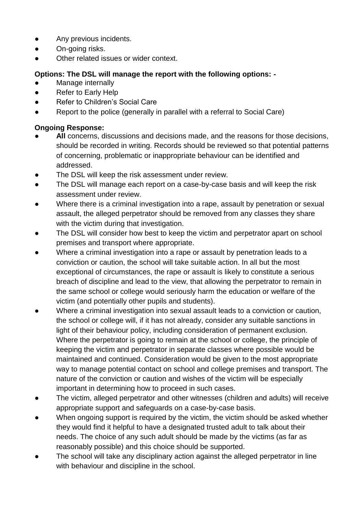- **•** Any previous incidents.
- On-going risks.
- Other related issues or wider context.

## **Options: The DSL will manage the report with the following options: -**

- Manage internally
- Refer to Early Help
- Refer to Children's Social Care
- Report to the police (generally in parallel with a referral to Social Care)

## **Ongoing Response:**

- All concerns, discussions and decisions made, and the reasons for those decisions, should be recorded in writing. Records should be reviewed so that potential patterns of concerning, problematic or inappropriate behaviour can be identified and addressed.
- The DSL will keep the risk assessment under review.
- The DSL will manage each report on a case-by-case basis and will keep the risk assessment under review.
- Where there is a criminal investigation into a rape, assault by penetration or sexual assault, the alleged perpetrator should be removed from any classes they share with the victim during that investigation.
- The DSL will consider how best to keep the victim and perpetrator apart on school premises and transport where appropriate.
- Where a criminal investigation into a rape or assault by penetration leads to a conviction or caution, the school will take suitable action. In all but the most exceptional of circumstances, the rape or assault is likely to constitute a serious breach of discipline and lead to the view, that allowing the perpetrator to remain in the same school or college would seriously harm the education or welfare of the victim (and potentially other pupils and students).
- Where a criminal investigation into sexual assault leads to a conviction or caution, the school or college will, if it has not already, consider any suitable sanctions in light of their behaviour policy, including consideration of permanent exclusion. Where the perpetrator is going to remain at the school or college, the principle of keeping the victim and perpetrator in separate classes where possible would be maintained and continued. Consideration would be given to the most appropriate way to manage potential contact on school and college premises and transport. The nature of the conviction or caution and wishes of the victim will be especially important in determining how to proceed in such cases.
- The victim, alleged perpetrator and other witnesses (children and adults) will receive appropriate support and safeguards on a case-by-case basis.
- When ongoing support is required by the victim, the victim should be asked whether they would find it helpful to have a designated trusted adult to talk about their needs. The choice of any such adult should be made by the victims (as far as reasonably possible) and this choice should be supported.
- The school will take any disciplinary action against the alleged perpetrator in line with behaviour and discipline in the school.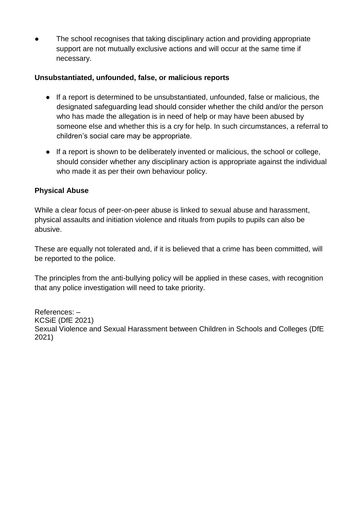● The school recognises that taking disciplinary action and providing appropriate support are not mutually exclusive actions and will occur at the same time if necessary.

## **Unsubstantiated, unfounded, false, or malicious reports**

- If a report is determined to be unsubstantiated, unfounded, false or malicious, the designated safeguarding lead should consider whether the child and/or the person who has made the allegation is in need of help or may have been abused by someone else and whether this is a cry for help. In such circumstances, a referral to children's social care may be appropriate.
- If a report is shown to be deliberately invented or malicious, the school or college, should consider whether any disciplinary action is appropriate against the individual who made it as per their own behaviour policy.

## **Physical Abuse**

While a clear focus of peer-on-peer abuse is linked to sexual abuse and harassment, physical assaults and initiation violence and rituals from pupils to pupils can also be abusive.

These are equally not tolerated and, if it is believed that a crime has been committed, will be reported to the police.

The principles from the anti-bullying policy will be applied in these cases, with recognition that any police investigation will need to take priority.

References: – KCSiE (DfE 2021) Sexual Violence and Sexual Harassment between Children in Schools and Colleges (DfE 2021)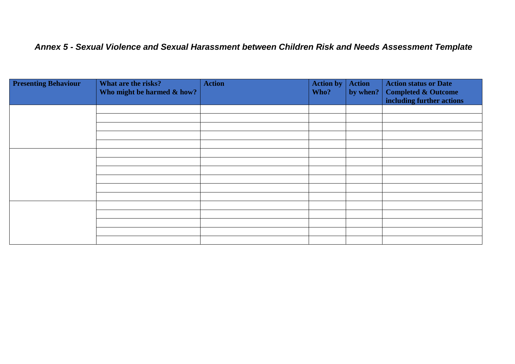## *Annex 5 - Sexual Violence and Sexual Harassment between Children Risk and Needs Assessment Template*

<span id="page-21-0"></span>

| <b>Presenting Behaviour</b> | What are the risks?<br>Who might be harmed & how? | <b>Action</b> | <b>Action by</b><br>Who? | <b>Action</b><br>by when? $ $ | <b>Action status or Date</b><br><b>Completed &amp; Outcome</b><br>including further actions |
|-----------------------------|---------------------------------------------------|---------------|--------------------------|-------------------------------|---------------------------------------------------------------------------------------------|
|                             |                                                   |               |                          |                               |                                                                                             |
|                             |                                                   |               |                          |                               |                                                                                             |
|                             |                                                   |               |                          |                               |                                                                                             |
|                             |                                                   |               |                          |                               |                                                                                             |
|                             |                                                   |               |                          |                               |                                                                                             |
|                             |                                                   |               |                          |                               |                                                                                             |
|                             |                                                   |               |                          |                               |                                                                                             |
|                             |                                                   |               |                          |                               |                                                                                             |
|                             |                                                   |               |                          |                               |                                                                                             |
|                             |                                                   |               |                          |                               |                                                                                             |
|                             |                                                   |               |                          |                               |                                                                                             |
|                             |                                                   |               |                          |                               |                                                                                             |
|                             |                                                   |               |                          |                               |                                                                                             |
|                             |                                                   |               |                          |                               |                                                                                             |
|                             |                                                   |               |                          |                               |                                                                                             |
|                             |                                                   |               |                          |                               |                                                                                             |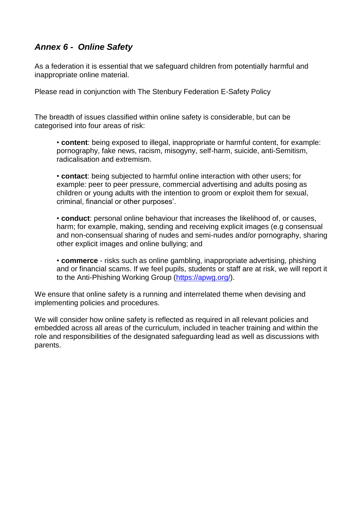## <span id="page-22-0"></span>*Annex 6 - Online Safety*

As a federation it is essential that we safeguard children from potentially harmful and inappropriate online material.

Please read in conjunction with The Stenbury Federation E-Safety Policy

The breadth of issues classified within online safety is considerable, but can be categorised into four areas of risk:

• **content**: being exposed to illegal, inappropriate or harmful content, for example: pornography, fake news, racism, misogyny, self-harm, suicide, anti-Semitism, radicalisation and extremism.

• **contact**: being subjected to harmful online interaction with other users; for example: peer to peer pressure, commercial advertising and adults posing as children or young adults with the intention to groom or exploit them for sexual, criminal, financial or other purposes'.

• **conduct**: personal online behaviour that increases the likelihood of, or causes, harm; for example, making, sending and receiving explicit images (e.g consensual and non-consensual sharing of nudes and semi-nudes and/or pornography, sharing other explicit images and online bullying; and

• **commerce** - risks such as online gambling, inappropriate advertising, phishing and or financial scams. If we feel pupils, students or staff are at risk, we will report it to the Anti-Phishing Working Group [\(https://apwg.org/\)](https://apwg.org/).

We ensure that online safety is a running and interrelated theme when devising and implementing policies and procedures.

We will consider how online safety is reflected as required in all relevant policies and embedded across all areas of the curriculum, included in teacher training and within the role and responsibilities of the designated safeguarding lead as well as discussions with parents.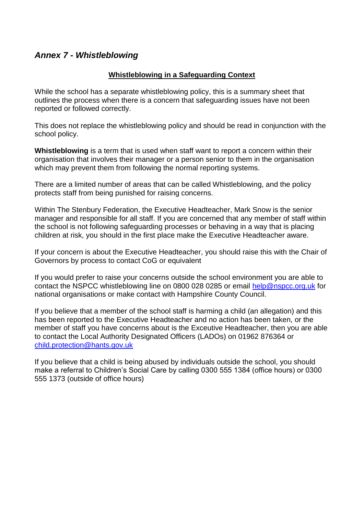## <span id="page-23-0"></span>*Annex 7 - Whistleblowing*

## **Whistleblowing in a Safeguarding Context**

While the school has a separate whistleblowing policy, this is a summary sheet that outlines the process when there is a concern that safeguarding issues have not been reported or followed correctly.

This does not replace the whistleblowing policy and should be read in conjunction with the school policy.

**Whistleblowing** is a term that is used when staff want to report a concern within their organisation that involves their manager or a person senior to them in the organisation which may prevent them from following the normal reporting systems.

There are a limited number of areas that can be called Whistleblowing, and the policy protects staff from being punished for raising concerns.

Within The Stenbury Federation, the Executive Headteacher, Mark Snow is the senior manager and responsible for all staff. If you are concerned that any member of staff within the school is not following safeguarding processes or behaving in a way that is placing children at risk, you should in the first place make the Executive Headteacher aware.

If your concern is about the Executive Headteacher, you should raise this with the Chair of Governors by process to contact CoG or equivalent

If you would prefer to raise your concerns outside the school environment you are able to contact the NSPCC whistleblowing line on 0800 028 0285 or email [help@nspcc.org.uk](mailto:help@nspcc.org.uk) for national organisations or make contact with Hampshire County Council.

If you believe that a member of the school staff is harming a child (an allegation) and this has been reported to the Executive Headteacher and no action has been taken, or the member of staff you have concerns about is the Exceutive Headteacher, then you are able to contact the Local Authority Designated Officers (LADOs) on 01962 876364 or [child.protection@hants.gov.uk](mailto:child.protection@hants.gov.uk)

If you believe that a child is being abused by individuals outside the school, you should make a referral to Children's Social Care by calling 0300 555 1384 (office hours) or 0300 555 1373 (outside of office hours)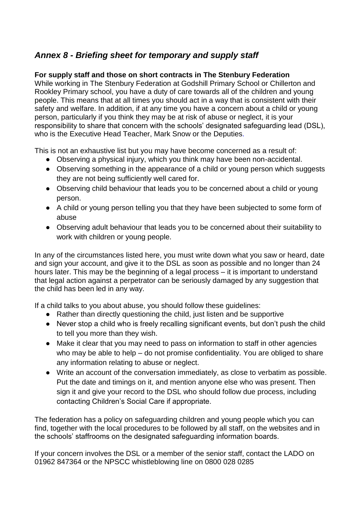## <span id="page-24-0"></span>*Annex 8 - Briefing sheet for temporary and supply staff*

## **For supply staff and those on short contracts in The Stenbury Federation**

While working in The Stenbury Federation at Godshill Primary School or Chillerton and Rookley Primary school, you have a duty of care towards all of the children and young people. This means that at all times you should act in a way that is consistent with their safety and welfare. In addition, if at any time you have a concern about a child or young person, particularly if you think they may be at risk of abuse or neglect, it is your responsibility to share that concern with the schools' designated safeguarding lead (DSL), who is the Executive Head Teacher, Mark Snow or the Deputies*.*

This is not an exhaustive list but you may have become concerned as a result of:

- Observing a physical injury, which you think may have been non-accidental.
- Observing something in the appearance of a child or young person which suggests they are not being sufficiently well cared for.
- Observing child behaviour that leads you to be concerned about a child or young person.
- A child or young person telling you that they have been subjected to some form of abuse
- Observing adult behaviour that leads you to be concerned about their suitability to work with children or young people.

In any of the circumstances listed here, you must write down what you saw or heard, date and sign your account, and give it to the DSL as soon as possible and no longer than 24 hours later. This may be the beginning of a legal process – it is important to understand that legal action against a perpetrator can be seriously damaged by any suggestion that the child has been led in any way.

If a child talks to you about abuse, you should follow these guidelines:

- Rather than directly questioning the child, just listen and be supportive
- Never stop a child who is freely recalling significant events, but don't push the child to tell you more than they wish.
- Make it clear that you may need to pass on information to staff in other agencies who may be able to help – do not promise confidentiality. You are obliged to share any information relating to abuse or neglect.
- Write an account of the conversation immediately, as close to verbatim as possible. Put the date and timings on it, and mention anyone else who was present. Then sign it and give your record to the DSL who should follow due process, including contacting Children's Social Care if appropriate.

The federation has a policy on safeguarding children and young people which you can find, together with the local procedures to be followed by all staff, on the websites and in the schools' staffrooms on the designated safeguarding information boards.

If your concern involves the DSL or a member of the senior staff, contact the LADO on 01962 847364 or the NPSCC whistleblowing line on 0800 028 0285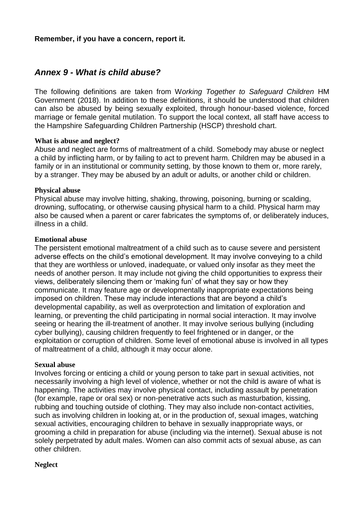## **Remember, if you have a concern, report it.**

## <span id="page-25-0"></span>*Annex 9 - What is child abuse?*

The following definitions are taken from W*orking Together to Safeguard Children* HM Government (2018). In addition to these definitions, it should be understood that children can also be abused by being sexually exploited, through honour-based violence, forced marriage or female genital mutilation. To support the local context, all staff have access to the Hampshire Safeguarding Children Partnership (HSCP) threshold chart.

#### **What is abuse and neglect?**

Abuse and neglect are forms of maltreatment of a child. Somebody may abuse or neglect a child by inflicting harm, or by failing to act to prevent harm. Children may be abused in a family or in an institutional or community setting, by those known to them or, more rarely, by a stranger. They may be abused by an adult or adults, or another child or children.

#### **Physical abuse**

Physical abuse may involve hitting, shaking, throwing, poisoning, burning or scalding, drowning, suffocating, or otherwise causing physical harm to a child. Physical harm may also be caused when a parent or carer fabricates the symptoms of, or deliberately induces, illness in a child.

#### **Emotional abuse**

The persistent emotional maltreatment of a child such as to cause severe and persistent adverse effects on the child's emotional development. It may involve conveying to a child that they are worthless or unloved, inadequate, or valued only insofar as they meet the needs of another person. It may include not giving the child opportunities to express their views, deliberately silencing them or 'making fun' of what they say or how they communicate. It may feature age or developmentally inappropriate expectations being imposed on children. These may include interactions that are beyond a child's developmental capability, as well as overprotection and limitation of exploration and learning, or preventing the child participating in normal social interaction. It may involve seeing or hearing the ill-treatment of another. It may involve serious bullying (including cyber bullying), causing children frequently to feel frightened or in danger, or the exploitation or corruption of children. Some level of emotional abuse is involved in all types of maltreatment of a child, although it may occur alone.

#### **Sexual abuse**

Involves forcing or enticing a child or young person to take part in sexual activities, not necessarily involving a high level of violence, whether or not the child is aware of what is happening. The activities may involve physical contact, including assault by penetration (for example, rape or oral sex) or non-penetrative acts such as masturbation, kissing, rubbing and touching outside of clothing. They may also include non-contact activities, such as involving children in looking at, or in the production of, sexual images, watching sexual activities, encouraging children to behave in sexually inappropriate ways, or grooming a child in preparation for abuse (including via the internet). Sexual abuse is not solely perpetrated by adult males. Women can also commit acts of sexual abuse, as can other children.

#### **Neglect**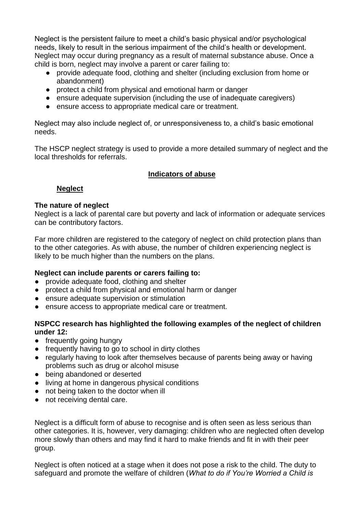Neglect is the persistent failure to meet a child's basic physical and/or psychological needs, likely to result in the serious impairment of the child's health or development. Neglect may occur during pregnancy as a result of maternal substance abuse. Once a child is born, neglect may involve a parent or carer failing to:

- provide adequate food, clothing and shelter (including exclusion from home or abandonment)
- protect a child from physical and emotional harm or danger
- ensure adequate supervision (including the use of inadequate caregivers)
- ensure access to appropriate medical care or treatment.

Neglect may also include neglect of, or unresponsiveness to, a child's basic emotional needs.

The HSCP neglect strategy is used to provide a more detailed summary of neglect and the local thresholds for referrals.

## **Indicators of abuse**

## **Neglect**

## **The nature of neglect**

Neglect is a lack of parental care but poverty and lack of information or adequate services can be contributory factors.

Far more children are registered to the category of neglect on child protection plans than to the other categories. As with abuse, the number of children experiencing neglect is likely to be much higher than the numbers on the plans.

## **Neglect can include parents or carers failing to:**

- provide adequate food, clothing and shelter
- protect a child from physical and emotional harm or danger
- ensure adequate supervision or stimulation
- ensure access to appropriate medical care or treatment.

## **NSPCC research has highlighted the following examples of the neglect of children under 12:**

- frequently going hungry
- frequently having to go to school in dirty clothes
- regularly having to look after themselves because of parents being away or having problems such as drug or alcohol misuse
- being abandoned or deserted
- living at home in dangerous physical conditions
- not being taken to the doctor when ill
- not receiving dental care.

Neglect is a difficult form of abuse to recognise and is often seen as less serious than other categories. It is, however, very damaging: children who are neglected often develop more slowly than others and may find it hard to make friends and fit in with their peer group.

Neglect is often noticed at a stage when it does not pose a risk to the child. The duty to safeguard and promote the welfare of children (*What to do if You're Worried a Child is*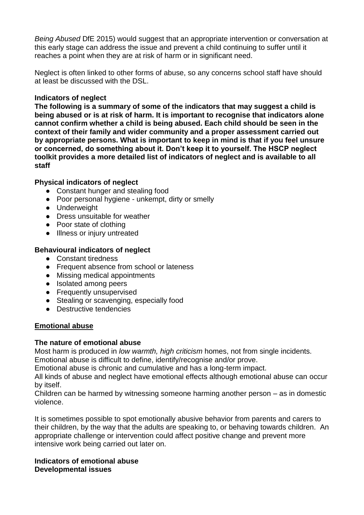*Being Abused* DfE 2015) would suggest that an appropriate intervention or conversation at this early stage can address the issue and prevent a child continuing to suffer until it reaches a point when they are at risk of harm or in significant need.

Neglect is often linked to other forms of abuse, so any concerns school staff have should at least be discussed with the DSL.

## **Indicators of neglect**

**The following is a summary of some of the indicators that may suggest a child is being abused or is at risk of harm. It is important to recognise that indicators alone cannot confirm whether a child is being abused. Each child should be seen in the context of their family and wider community and a proper assessment carried out by appropriate persons. What is important to keep in mind is that if you feel unsure or concerned, do something about it. Don't keep it to yourself. The HSCP neglect toolkit provides a more detailed list of indicators of neglect and is available to all staff**

## **Physical indicators of neglect**

- Constant hunger and stealing food
- Poor personal hygiene unkempt, dirty or smelly
- Underweight
- Dress unsuitable for weather
- Poor state of clothing
- Illness or injury untreated

## **Behavioural indicators of neglect**

- Constant tiredness
- Frequent absence from school or lateness
- Missing medical appointments
- Isolated among peers
- Frequently unsupervised
- Stealing or scavenging, especially food
- Destructive tendencies

## **Emotional abuse**

## **The nature of emotional abuse**

Most harm is produced in *low warmth, high criticism* homes, not from single incidents.

Emotional abuse is difficult to define, identify/recognise and/or prove.

Emotional abuse is chronic and cumulative and has a long-term impact.

All kinds of abuse and neglect have emotional effects although emotional abuse can occur by itself.

Children can be harmed by witnessing someone harming another person – as in domestic violence.

It is sometimes possible to spot emotionally abusive behavior from parents and carers to their children, by the way that the adults are speaking to, or behaving towards children. An appropriate challenge or intervention could affect positive change and prevent more intensive work being carried out later on.

#### **Indicators of emotional abuse Developmental issues**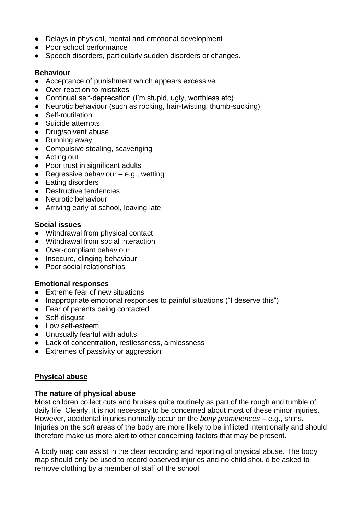- Delays in physical, mental and emotional development
- Poor school performance
- Speech disorders, particularly sudden disorders or changes.

## **Behaviour**

- Acceptance of punishment which appears excessive
- Over-reaction to mistakes
- Continual self-deprecation (I'm stupid, ugly, worthless etc)
- Neurotic behaviour (such as rocking, hair-twisting, thumb-sucking)
- Self-mutilation
- Suicide attempts
- Drug/solvent abuse
- Running away
- Compulsive stealing, scavenging
- Acting out
- Poor trust in significant adults
- Regressive behaviour  $-$  e.g., wetting
- Eating disorders
- Destructive tendencies
- Neurotic behaviour
- Arriving early at school, leaving late

## **Social issues**

- Withdrawal from physical contact
- Withdrawal from social interaction
- Over-compliant behaviour
- Insecure, clinging behaviour
- Poor social relationships

## **Emotional responses**

- Extreme fear of new situations
- Inappropriate emotional responses to painful situations ("I deserve this")
- Fear of parents being contacted
- Self-disgust
- Low self-esteem
- Unusually fearful with adults
- Lack of concentration, restlessness, aimlessness
- Extremes of passivity or aggression

## **Physical abuse**

## **The nature of physical abuse**

Most children collect cuts and bruises quite routinely as part of the rough and tumble of daily life. Clearly, it is not necessary to be concerned about most of these minor injuries. However, accidental injuries normally occur on the *bony prominences* – e.g., shins. Injuries on the *soft* areas of the body are more likely to be inflicted intentionally and should therefore make us more alert to other concerning factors that may be present.

A body map can assist in the clear recording and reporting of physical abuse. The body map should only be used to record observed injuries and no child should be asked to remove clothing by a member of staff of the school.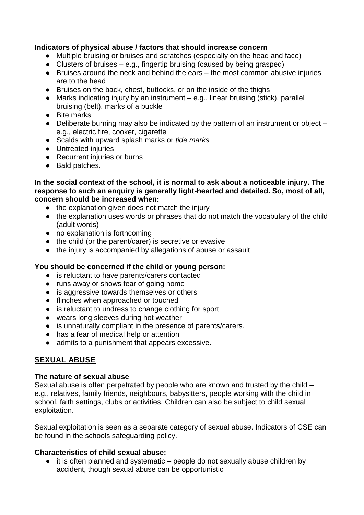## **Indicators of physical abuse / factors that should increase concern**

- Multiple bruising or bruises and scratches (especially on the head and face)
- Clusters of bruises  $-$  e.g., fingertip bruising (caused by being grasped)
- Bruises around the neck and behind the ears the most common abusive injuries are to the head
- Bruises on the back, chest, buttocks, or on the inside of the thighs
- Marks indicating injury by an instrument e.g., linear bruising (stick), parallel bruising (belt), marks of a buckle
- Bite marks
- Deliberate burning may also be indicated by the pattern of an instrument or object e.g., electric fire, cooker, cigarette
- Scalds with upward splash marks or *tide marks*
- Untreated injuries
- Recurrent injuries or burns
- Bald patches.

## **In the social context of the school, it is normal to ask about a noticeable injury. The response to such an enquiry is generally light-hearted and detailed. So, most of all, concern should be increased when:**

- the explanation given does not match the injury
- the explanation uses words or phrases that do not match the vocabulary of the child (adult words)
- no explanation is forthcoming
- the child (or the parent/carer) is secretive or evasive
- the injury is accompanied by allegations of abuse or assault

## **You should be concerned if the child or young person:**

- is reluctant to have parents/carers contacted
- runs away or shows fear of going home
- is aggressive towards themselves or others
- flinches when approached or touched
- is reluctant to undress to change clothing for sport
- wears long sleeves during hot weather
- is unnaturally compliant in the presence of parents/carers.
- has a fear of medical help or attention
- admits to a punishment that appears excessive.

## **SEXUAL ABUSE**

#### **The nature of sexual abuse**

Sexual abuse is often perpetrated by people who are known and trusted by the child – e.g., relatives, family friends, neighbours, babysitters, people working with the child in school, faith settings, clubs or activities. Children can also be subject to child sexual exploitation.

Sexual exploitation is seen as a separate category of sexual abuse. Indicators of CSE can be found in the schools safeguarding policy.

## **Characteristics of child sexual abuse:**

● it is often planned and systematic – people do not sexually abuse children by accident, though sexual abuse can be opportunistic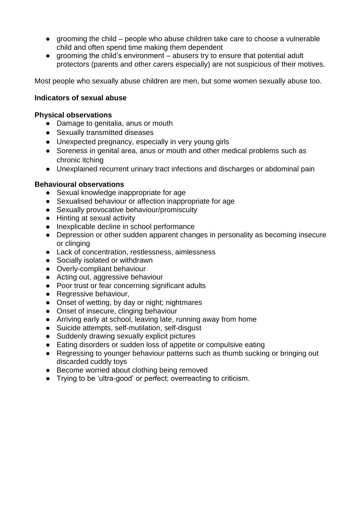- grooming the child people who abuse children take care to choose a vulnerable child and often spend time making them dependent
- grooming the child's environment abusers try to ensure that potential adult protectors (parents and other carers especially) are not suspicious of their motives.

Most people who sexually abuse children are men, but some women sexually abuse too.

## **Indicators of sexual abuse**

#### **Physical observations**

- Damage to genitalia, anus or mouth
- Sexually transmitted diseases
- Unexpected pregnancy, especially in very young girls
- Soreness in genital area, anus or mouth and other medical problems such as chronic itching
- Unexplained recurrent urinary tract infections and discharges or abdominal pain

## **Behavioural observations**

- Sexual knowledge inappropriate for age
- Sexualised behaviour or affection inappropriate for age
- Sexually provocative behaviour/promiscuity
- Hinting at sexual activity
- Inexplicable decline in school performance
- Depression or other sudden apparent changes in personality as becoming insecure or clinging
- Lack of concentration, restlessness, aimlessness
- Socially isolated or withdrawn
- Overly-compliant behaviour
- Acting out, aggressive behaviour
- Poor trust or fear concerning significant adults
- Regressive behaviour,
- Onset of wetting, by day or night; nightmares
- Onset of insecure, clinging behaviour
- Arriving early at school, leaving late, running away from home
- Suicide attempts, self-mutilation, self-disgust
- Suddenly drawing sexually explicit pictures
- Eating disorders or sudden loss of appetite or compulsive eating
- Regressing to younger behaviour patterns such as thumb sucking or bringing out discarded cuddly toys
- Become worried about clothing being removed
- Trying to be 'ultra-good' or perfect; overreacting to criticism.